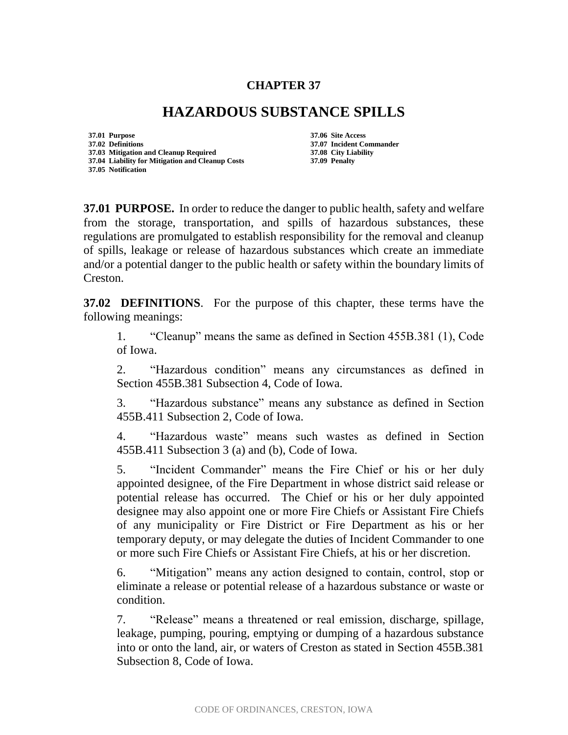## **CHAPTER 37**

## **HAZARDOUS SUBSTANCE SPILLS**

**37.01 Purpose 37.06 Site Access 37.02 Definitions 37.07 Incident Commander 37.03 Mitigation and Cleanup Required 37.04 Liability for Mitigation and Cleanup Costs 37.09 Penalty 37.05 Notification**

**37.01 PURPOSE.** In order to reduce the danger to public health, safety and welfare from the storage, transportation, and spills of hazardous substances, these regulations are promulgated to establish responsibility for the removal and cleanup of spills, leakage or release of hazardous substances which create an immediate and/or a potential danger to the public health or safety within the boundary limits of Creston.

**37.02 DEFINITIONS**. For the purpose of this chapter, these terms have the following meanings:

1. "Cleanup" means the same as defined in Section 455B.381 (1), Code of Iowa.

2. "Hazardous condition" means any circumstances as defined in Section 455B.381 Subsection 4, Code of Iowa.

3. "Hazardous substance" means any substance as defined in Section 455B.411 Subsection 2, Code of Iowa.

4. "Hazardous waste" means such wastes as defined in Section 455B.411 Subsection 3 (a) and (b), Code of Iowa.

5. "Incident Commander" means the Fire Chief or his or her duly appointed designee, of the Fire Department in whose district said release or potential release has occurred. The Chief or his or her duly appointed designee may also appoint one or more Fire Chiefs or Assistant Fire Chiefs of any municipality or Fire District or Fire Department as his or her temporary deputy, or may delegate the duties of Incident Commander to one or more such Fire Chiefs or Assistant Fire Chiefs, at his or her discretion.

6. "Mitigation" means any action designed to contain, control, stop or eliminate a release or potential release of a hazardous substance or waste or condition.

7. "Release" means a threatened or real emission, discharge, spillage, leakage, pumping, pouring, emptying or dumping of a hazardous substance into or onto the land, air, or waters of Creston as stated in Section 455B.381 Subsection 8, Code of Iowa.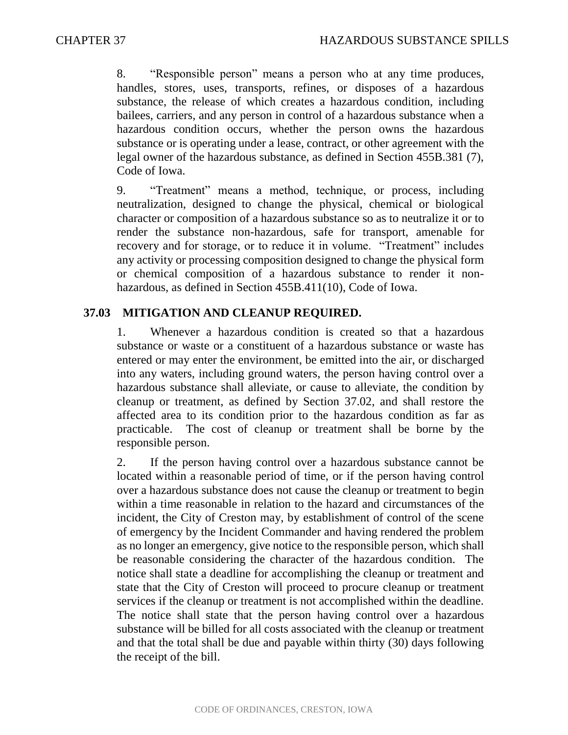8. "Responsible person" means a person who at any time produces, handles, stores, uses, transports, refines, or disposes of a hazardous substance, the release of which creates a hazardous condition, including bailees, carriers, and any person in control of a hazardous substance when a hazardous condition occurs, whether the person owns the hazardous substance or is operating under a lease, contract, or other agreement with the legal owner of the hazardous substance, as defined in Section 455B.381 (7), Code of Iowa.

9. "Treatment" means a method, technique, or process, including neutralization, designed to change the physical, chemical or biological character or composition of a hazardous substance so as to neutralize it or to render the substance non-hazardous, safe for transport, amenable for recovery and for storage, or to reduce it in volume. "Treatment" includes any activity or processing composition designed to change the physical form or chemical composition of a hazardous substance to render it nonhazardous, as defined in Section 455B.411(10), Code of Iowa.

## **37.03 MITIGATION AND CLEANUP REQUIRED.**

1. Whenever a hazardous condition is created so that a hazardous substance or waste or a constituent of a hazardous substance or waste has entered or may enter the environment, be emitted into the air, or discharged into any waters, including ground waters, the person having control over a hazardous substance shall alleviate, or cause to alleviate, the condition by cleanup or treatment, as defined by Section 37.02, and shall restore the affected area to its condition prior to the hazardous condition as far as practicable. The cost of cleanup or treatment shall be borne by the responsible person.

2. If the person having control over a hazardous substance cannot be located within a reasonable period of time, or if the person having control over a hazardous substance does not cause the cleanup or treatment to begin within a time reasonable in relation to the hazard and circumstances of the incident, the City of Creston may, by establishment of control of the scene of emergency by the Incident Commander and having rendered the problem as no longer an emergency, give notice to the responsible person, which shall be reasonable considering the character of the hazardous condition. The notice shall state a deadline for accomplishing the cleanup or treatment and state that the City of Creston will proceed to procure cleanup or treatment services if the cleanup or treatment is not accomplished within the deadline. The notice shall state that the person having control over a hazardous substance will be billed for all costs associated with the cleanup or treatment and that the total shall be due and payable within thirty (30) days following the receipt of the bill.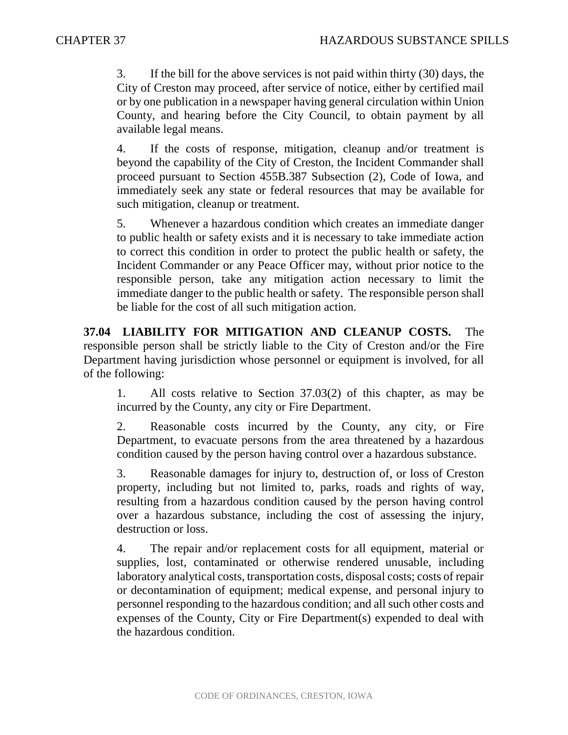3. If the bill for the above services is not paid within thirty (30) days, the City of Creston may proceed, after service of notice, either by certified mail or by one publication in a newspaper having general circulation within Union County, and hearing before the City Council, to obtain payment by all available legal means.

4. If the costs of response, mitigation, cleanup and/or treatment is beyond the capability of the City of Creston, the Incident Commander shall proceed pursuant to Section 455B.387 Subsection (2), Code of Iowa, and immediately seek any state or federal resources that may be available for such mitigation, cleanup or treatment.

5. Whenever a hazardous condition which creates an immediate danger to public health or safety exists and it is necessary to take immediate action to correct this condition in order to protect the public health or safety, the Incident Commander or any Peace Officer may, without prior notice to the responsible person, take any mitigation action necessary to limit the immediate danger to the public health or safety. The responsible person shall be liable for the cost of all such mitigation action.

**37.04 LIABILITY FOR MITIGATION AND CLEANUP COSTS.** The responsible person shall be strictly liable to the City of Creston and/or the Fire Department having jurisdiction whose personnel or equipment is involved, for all of the following:

1. All costs relative to Section 37.03(2) of this chapter, as may be incurred by the County, any city or Fire Department.

2. Reasonable costs incurred by the County, any city, or Fire Department, to evacuate persons from the area threatened by a hazardous condition caused by the person having control over a hazardous substance.

3. Reasonable damages for injury to, destruction of, or loss of Creston property, including but not limited to, parks, roads and rights of way, resulting from a hazardous condition caused by the person having control over a hazardous substance, including the cost of assessing the injury, destruction or loss.

4. The repair and/or replacement costs for all equipment, material or supplies, lost, contaminated or otherwise rendered unusable, including laboratory analytical costs, transportation costs, disposal costs; costs of repair or decontamination of equipment; medical expense, and personal injury to personnel responding to the hazardous condition; and all such other costs and expenses of the County, City or Fire Department(s) expended to deal with the hazardous condition.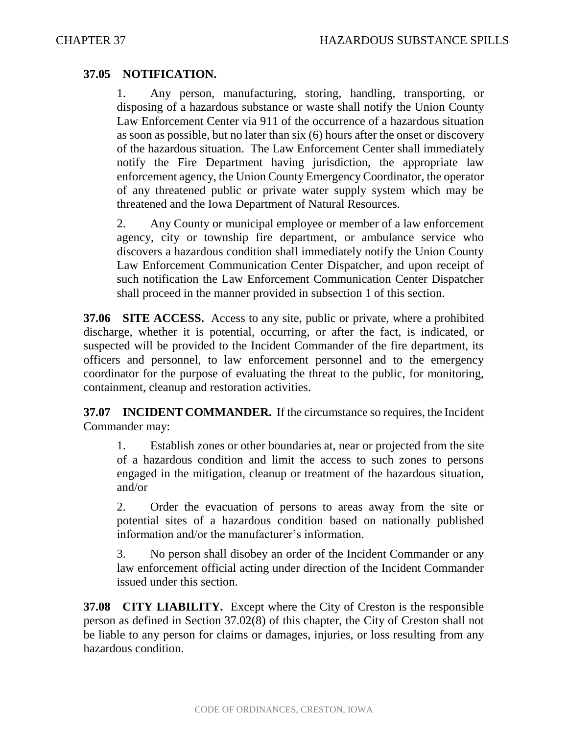## **37.05 NOTIFICATION.**

1. Any person, manufacturing, storing, handling, transporting, or disposing of a hazardous substance or waste shall notify the Union County Law Enforcement Center via 911 of the occurrence of a hazardous situation as soon as possible, but no later than six (6) hours after the onset or discovery of the hazardous situation. The Law Enforcement Center shall immediately notify the Fire Department having jurisdiction, the appropriate law enforcement agency, the Union County Emergency Coordinator, the operator of any threatened public or private water supply system which may be threatened and the Iowa Department of Natural Resources.

2. Any County or municipal employee or member of a law enforcement agency, city or township fire department, or ambulance service who discovers a hazardous condition shall immediately notify the Union County Law Enforcement Communication Center Dispatcher, and upon receipt of such notification the Law Enforcement Communication Center Dispatcher shall proceed in the manner provided in subsection 1 of this section.

**37.06 SITE ACCESS.** Access to any site, public or private, where a prohibited discharge, whether it is potential, occurring, or after the fact, is indicated, or suspected will be provided to the Incident Commander of the fire department, its officers and personnel, to law enforcement personnel and to the emergency coordinator for the purpose of evaluating the threat to the public, for monitoring, containment, cleanup and restoration activities.

**37.07 INCIDENT COMMANDER.** If the circumstance so requires, the Incident Commander may:

1. Establish zones or other boundaries at, near or projected from the site of a hazardous condition and limit the access to such zones to persons engaged in the mitigation, cleanup or treatment of the hazardous situation, and/or

2. Order the evacuation of persons to areas away from the site or potential sites of a hazardous condition based on nationally published information and/or the manufacturer's information.

3. No person shall disobey an order of the Incident Commander or any law enforcement official acting under direction of the Incident Commander issued under this section.

**37.08 CITY LIABILITY.** Except where the City of Creston is the responsible person as defined in Section 37.02(8) of this chapter, the City of Creston shall not be liable to any person for claims or damages, injuries, or loss resulting from any hazardous condition.